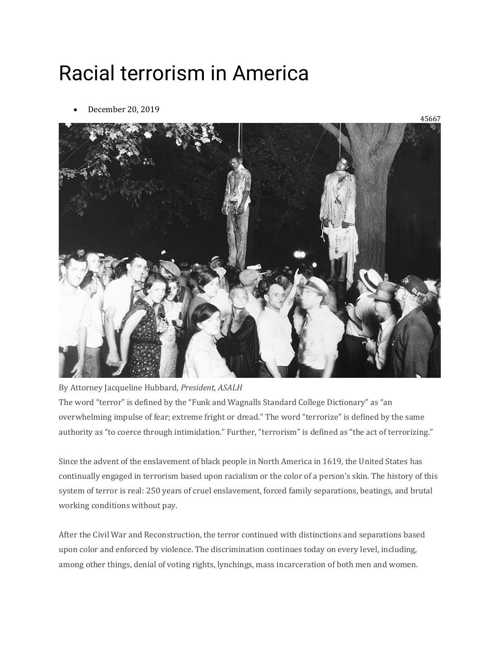## Racial terrorism in America

• December 20, 2019



By Attorney Jacqueline Hubbard, *President, ASALH* The word "terror" is defined by the "Funk and Wagnalls Standard College Dictionary" as "an overwhelming impulse of fear; extreme fright or dread." The word "terrorize" is defined by the same authority as "to coerce through intimidation." Further, "terrorism" is defined as "the act of terrorizing."

Since the advent of the enslavement of black people in North America in 1619, the United States has continually engaged in terrorism based upon racialism or the color of a person's skin. The history of this system of terror is real: 250 years of cruel enslavement, forced family separations, beatings, and brutal working conditions without pay.

After the Civil War and Reconstruction, the terror continued with distinctions and separations based upon color and enforced by violence. The discrimination continues today on every level, including, among other things, denial of voting rights, lynchings, mass incarceration of both men and women.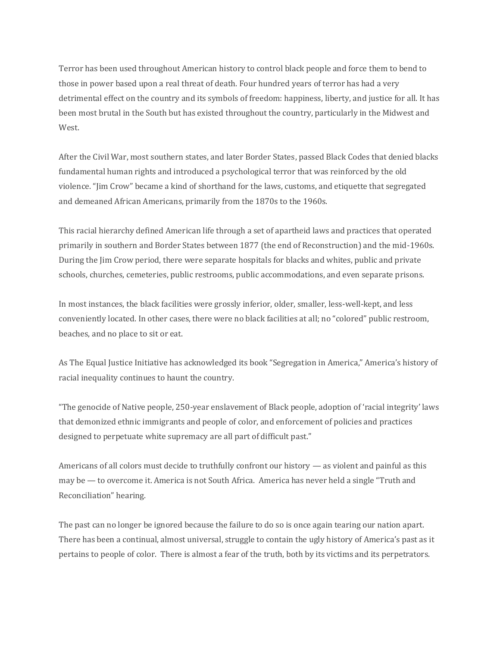Terror has been used throughout American history to control black people and force them to bend to those in power based upon a real threat of death. Four hundred years of terror has had a very detrimental effect on the country and its symbols of freedom: happiness, liberty, and justice for all. It has been most brutal in the South but has existed throughout the country, particularly in the Midwest and West.

After the Civil War, most southern states, and later Border States, passed Black Codes that denied blacks fundamental human rights and introduced a psychological terror that was reinforced by the old violence. "Jim Crow" became a kind of shorthand for the laws, customs, and etiquette that segregated and demeaned African Americans, primarily from the 1870s to the 1960s.

This racial hierarchy defined American life through a set of apartheid laws and practices that operated primarily in southern and Border States between 1877 (the end of Reconstruction) and the mid-1960s. During the Jim Crow period, there were separate hospitals for blacks and whites, public and private schools, churches, cemeteries, public restrooms, public accommodations, and even separate prisons.

In most instances, the black facilities were grossly inferior, older, smaller, less-well-kept, and less conveniently located. In other cases, there were no black facilities at all; no "colored" public restroom, beaches, and no place to sit or eat.

As The Equal Justice Initiative has acknowledged its book "Segregation in America," America's history of racial inequality continues to haunt the country.

"The genocide of Native people, 250-year enslavement of Black people, adoption of 'racial integrity' laws that demonized ethnic immigrants and people of color, and enforcement of policies and practices designed to perpetuate white supremacy are all part of difficult past."

Americans of all colors must decide to truthfully confront our history — as violent and painful as this may be — to overcome it. America is not South Africa. America has never held a single "Truth and Reconciliation" hearing.

The past can no longer be ignored because the failure to do so is once again tearing our nation apart. There has been a continual, almost universal, struggle to contain the ugly history of America's past as it pertains to people of color. There is almost a fear of the truth, both by its victims and its perpetrators.